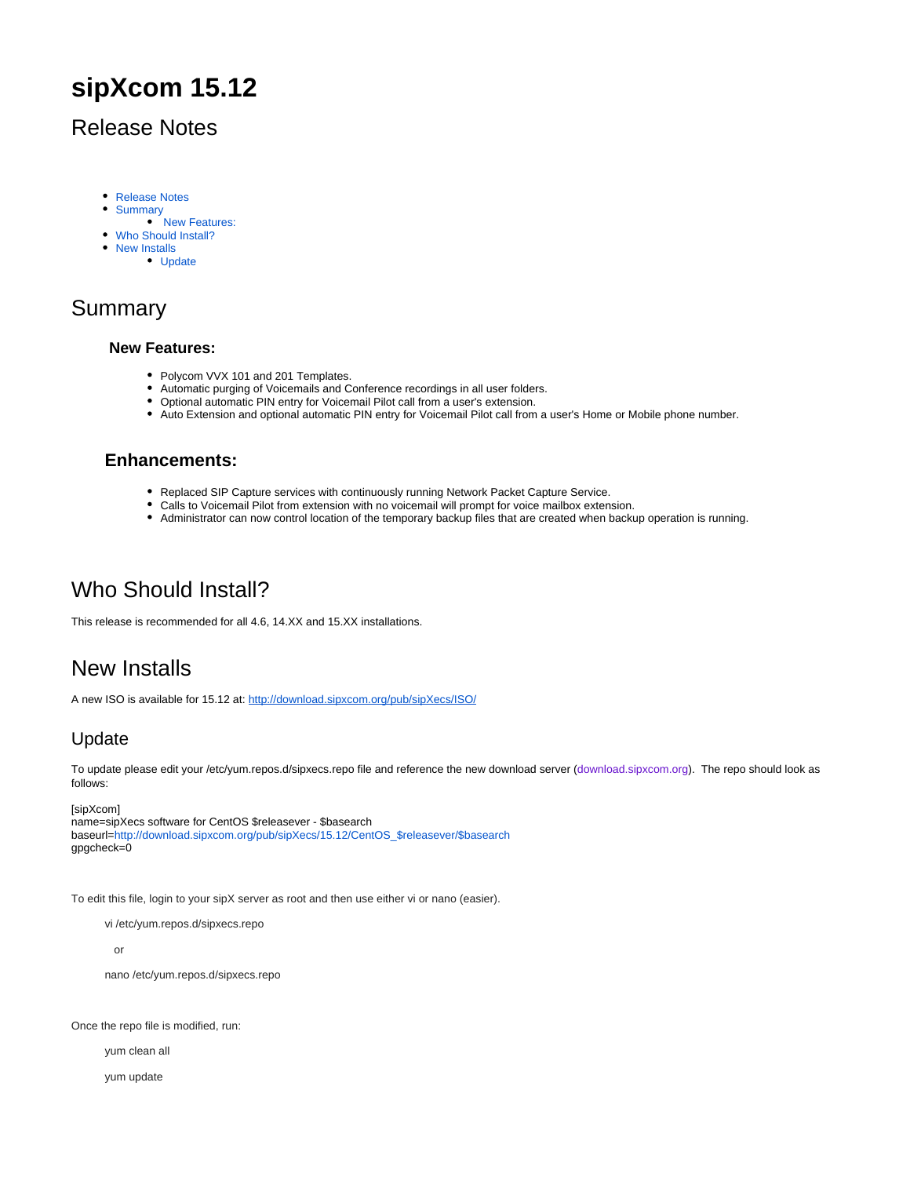# **sipXcom 15.12**

### <span id="page-0-0"></span>Release Notes

- [Release Notes](#page-0-0)
- **[Summary](#page-0-1)**
- • [New Features:](#page-0-2)
- [Who Should Install?](#page-0-3)
- [New Installs](#page-0-4)
	- [Update](#page-0-5)

## <span id="page-0-2"></span><span id="page-0-1"></span>Summary

#### **New Features:**

- Polycom VVX 101 and 201 Templates.
- Automatic purging of Voicemails and Conference recordings in all user folders.
- Optional automatic PIN entry for Voicemail Pilot call from a user's extension.
- Auto Extension and optional automatic PIN entry for Voicemail Pilot call from a user's Home or Mobile phone number.

#### **Enhancements:**

- Replaced SIP Capture services with continuously running Network Packet Capture Service.
- Calls to Voicemail Pilot from extension with no voicemail will prompt for voice mailbox extension.
- Administrator can now control location of the temporary backup files that are created when backup operation is running.

### <span id="page-0-3"></span>Who Should Install?

This release is recommended for all 4.6, 14.XX and 15.XX installations.

## <span id="page-0-4"></span>New Installs

A new ISO is available for 15.12 at:<http://download.sipxcom.org/pub/sipXecs/ISO/>

### <span id="page-0-5"></span>Update

To update please edit your /etc/yum.repos.d/sipxecs.repo file and reference the new download server ([download.sipxcom.org](http://download.sipxcom.org/)). The repo should look as follows:

[sipXcom] name=sipXecs software for CentOS \$releasever - \$basearch baseurl=[http://download.sipxcom.org/pub/sipXecs/15.12/CentOS\\_\\$releasever/\\$basearch](http://download.sipxcom.org/pub/sipXecs/15.12/CentOS_$releasever/$basearch) gpgcheck=0

To edit this file, login to your sipX server as root and then use either vi or nano (easier).

vi /etc/yum.repos.d/sipxecs.repo

or

nano /etc/yum.repos.d/sipxecs.repo

Once the repo file is modified, run:

yum clean all

yum update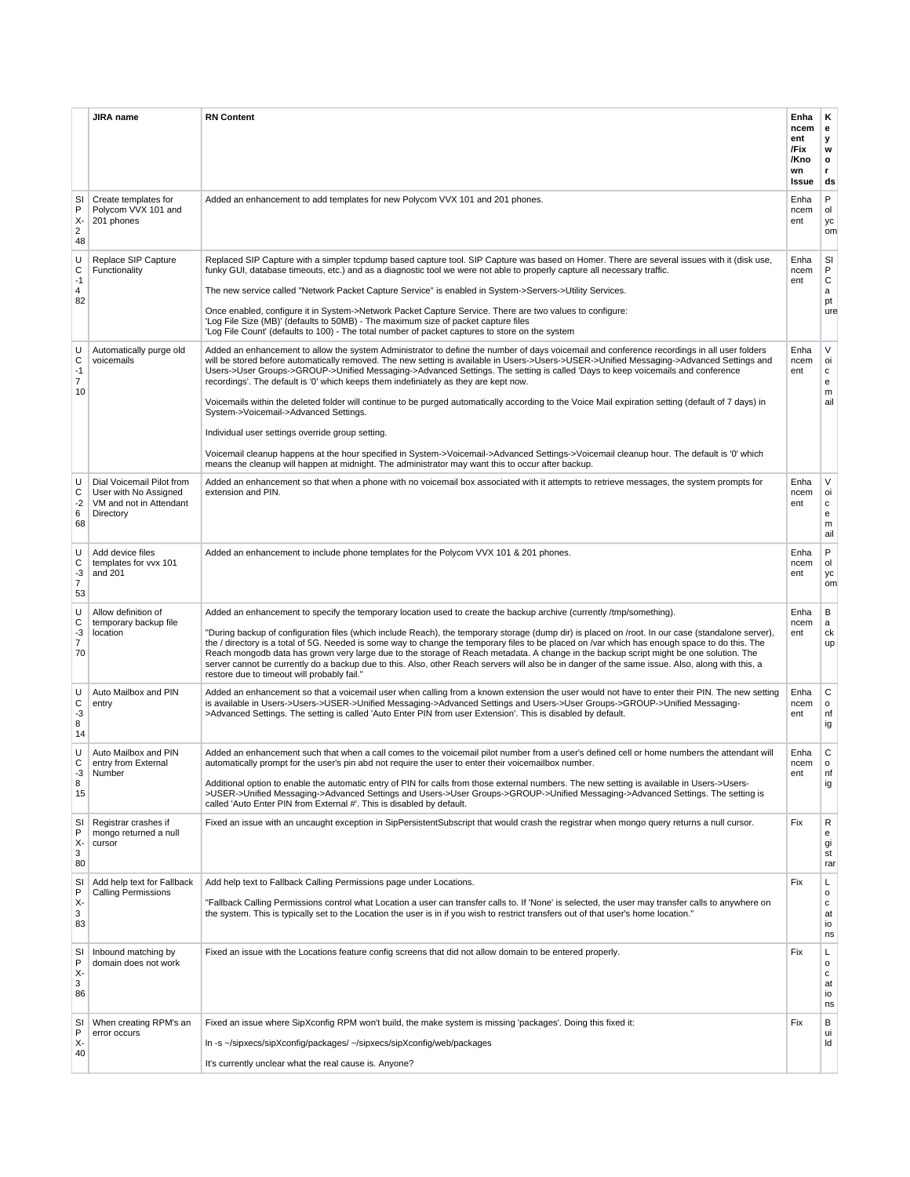|                                        | <b>JIRA</b> name                                                                           | <b>RN Content</b>                                                                                                                                                                                                                                                                                                                                                                                                                                                                                                                                                                                                                                                                                                                                                                                                                                                                                                                                                                                                        | Enha<br>ncem<br>ent<br>/Fix<br>/Kno<br>wn<br>Issue | Κ<br>е<br>у<br>w<br>o<br>r<br>ds                    |
|----------------------------------------|--------------------------------------------------------------------------------------------|--------------------------------------------------------------------------------------------------------------------------------------------------------------------------------------------------------------------------------------------------------------------------------------------------------------------------------------------------------------------------------------------------------------------------------------------------------------------------------------------------------------------------------------------------------------------------------------------------------------------------------------------------------------------------------------------------------------------------------------------------------------------------------------------------------------------------------------------------------------------------------------------------------------------------------------------------------------------------------------------------------------------------|----------------------------------------------------|-----------------------------------------------------|
| SI<br>P<br>χ.<br>$\overline{2}$<br>48  | Create templates for<br>Polycom VVX 101 and<br>201 phones                                  | Added an enhancement to add templates for new Polycom VVX 101 and 201 phones.                                                                                                                                                                                                                                                                                                                                                                                                                                                                                                                                                                                                                                                                                                                                                                                                                                                                                                                                            | Enha<br>ncem<br>ent                                | P<br>ol<br>уc<br>om                                 |
| U<br>C<br>$-1$<br>4<br>82              | Replace SIP Capture<br>Functionality                                                       | Replaced SIP Capture with a simpler tcpdump based capture tool. SIP Capture was based on Homer. There are several issues with it (disk use,<br>funky GUI, database timeouts, etc.) and as a diagnostic tool we were not able to properly capture all necessary traffic.<br>The new service called "Network Packet Capture Service" is enabled in System->Servers->Utility Services.<br>Once enabled, configure it in System->Network Packet Capture Service. There are two values to configure:<br>'Log File Size (MB)' (defaults to 50MB) - The maximum size of packet capture files<br>'Log File Count' (defaults to 100) - The total number of packet captures to store on the system                                                                                                                                                                                                                                                                                                                                 | Enha<br>ncem<br>ent                                | SI<br>P<br>С<br>a<br>pt<br>ure                      |
| U<br>C<br>-1<br>7<br>10                | Automatically purge old<br>voicemails                                                      | Added an enhancement to allow the system Administrator to define the number of days voicemail and conference recordings in all user folders<br>will be stored before automatically removed. The new setting is available in Users->Users->USER->Unified Messaging->Advanced Settings and<br>Users->User Groups->GROUP->Unified Messaging->Advanced Settings. The setting is called 'Days to keep voicemails and conference<br>recordings'. The default is '0' which keeps them indefiniately as they are kept now.<br>Voicemails within the deleted folder will continue to be purged automatically according to the Voice Mail expiration setting (default of 7 days) in<br>System->Voicemail->Advanced Settings.<br>Individual user settings override group setting.<br>Voicemail cleanup happens at the hour specified in System->Voicemail->Advanced Settings->Voicemail cleanup hour. The default is '0' which<br>means the cleanup will happen at midnight. The administrator may want this to occur after backup. | Enha<br>ncem<br>ent                                | V<br>oi<br>c<br>e<br>m<br>ail                       |
| U<br>С<br>$-2$<br>6<br>68              | Dial Voicemail Pilot from<br>User with No Assigned<br>VM and not in Attendant<br>Directory | Added an enhancement so that when a phone with no voicemail box associated with it attempts to retrieve messages, the system prompts for<br>extension and PIN.                                                                                                                                                                                                                                                                                                                                                                                                                                                                                                                                                                                                                                                                                                                                                                                                                                                           | Enha<br>ncem<br>ent                                | V<br>oi<br>с<br>e<br>m<br>ail                       |
| U<br>С<br>$-3$<br>$\overline{7}$<br>53 | Add device files<br>templates for vvx 101<br>and 201                                       | Added an enhancement to include phone templates for the Polycom VVX 101 & 201 phones.                                                                                                                                                                                                                                                                                                                                                                                                                                                                                                                                                                                                                                                                                                                                                                                                                                                                                                                                    | Enha<br>ncem<br>ent                                | P<br>ol<br>уc<br>om                                 |
| U<br>C<br>-3<br>$\overline{7}$<br>70   | Allow definition of<br>temporary backup file<br>location                                   | Added an enhancement to specify the temporary location used to create the backup archive (currently /tmp/something).<br>"During backup of configuration files (which include Reach), the temporary storage (dump dir) is placed on /root. In our case (standalone server),<br>the / directory is a total of 5G. Needed is some way to change the temporary files to be placed on /var which has enough space to do this. The<br>Reach mongodb data has grown very large due to the storage of Reach metadata. A change in the backup script might be one solution. The<br>server cannot be currently do a backup due to this. Also, other Reach servers will also be in danger of the same issue. Also, along with this, a<br>restore due to timeout will probably fail."                                                                                                                                                                                                                                                | Enha<br>ncem<br>ent                                | В<br>a<br>ck<br>up                                  |
| U<br>C<br>$-3$<br>8<br>14              | Auto Mailbox and PIN<br>entry                                                              | Added an enhancement so that a voicemail user when calling from a known extension the user would not have to enter their PIN. The new setting<br>is available in Users->Users->USER->Unified Messaging->Advanced Settings and Users->User Groups->GROUP->Unified Messaging-<br>>Advanced Settings. The setting is called 'Auto Enter PIN from user Extension'. This is disabled by default.                                                                                                                                                                                                                                                                                                                                                                                                                                                                                                                                                                                                                              | Enha<br>ncem<br>ent                                | С<br>$\mathsf{o}\,$<br>nf<br>ig                     |
| U<br>С<br>-3<br>8<br>15                | Auto Mailbox and PIN<br>entry from External<br>Number                                      | Added an enhancement such that when a call comes to the voicemail pilot number from a user's defined cell or home numbers the attendant will<br>automatically prompt for the user's pin abd not require the user to enter their voicemailbox number.<br>Additional option to enable the automatic entry of PIN for calls from those external numbers. The new setting is available in Users->Users-<br>>USER->Unified Messaging->Advanced Settings and Users->User Groups->GROUP->Unified Messaging->Advanced Settings. The setting is<br>called 'Auto Enter PIN from External #'. This is disabled by default.                                                                                                                                                                                                                                                                                                                                                                                                          | Enha<br>ncem<br>ent                                | C<br>$\circ$<br>nt<br>ig                            |
| SI<br>P<br>χ.<br>3<br>80               | Registrar crashes if<br>mongo returned a null<br>cursor                                    | Fixed an issue with an uncaught exception in SipPersistentSubscript that would crash the registrar when mongo query returns a null cursor.                                                                                                                                                                                                                                                                                                                                                                                                                                                                                                                                                                                                                                                                                                                                                                                                                                                                               | Fix                                                | R<br>e<br>gi<br>st<br>rar                           |
| SI<br>P<br>χ.<br>3<br>83               | Add help text for Fallback<br><b>Calling Permissions</b>                                   | Add help text to Fallback Calling Permissions page under Locations.<br>"Fallback Calling Permissions control what Location a user can transfer calls to. If 'None' is selected, the user may transfer calls to anywhere on<br>the system. This is typically set to the Location the user is in if you wish to restrict transfers out of that user's home location."                                                                                                                                                                                                                                                                                                                                                                                                                                                                                                                                                                                                                                                      | Fix                                                | L<br>$\mathsf{o}\,$<br>с<br>at<br>io<br>ns          |
| SI<br>P<br>χ.<br>3<br>86               | Inbound matching by<br>domain does not work                                                | Fixed an issue with the Locations feature config screens that did not allow domain to be entered properly.                                                                                                                                                                                                                                                                                                                                                                                                                                                                                                                                                                                                                                                                                                                                                                                                                                                                                                               | Fix                                                | L<br>$\mathsf{o}$<br>$\mathtt{C}$<br>at<br>io<br>ns |
| SI<br>P<br>χ.<br>40                    | When creating RPM's an<br>error occurs                                                     | Fixed an issue where SipXconfig RPM won't build, the make system is missing 'packages'. Doing this fixed it:<br>In -s ~/sipxecs/sipXconfig/packages/ ~/sipxecs/sipXconfig/web/packages<br>It's currently unclear what the real cause is. Anyone?                                                                                                                                                                                                                                                                                                                                                                                                                                                                                                                                                                                                                                                                                                                                                                         | Fix                                                | В<br>ui<br>ld                                       |